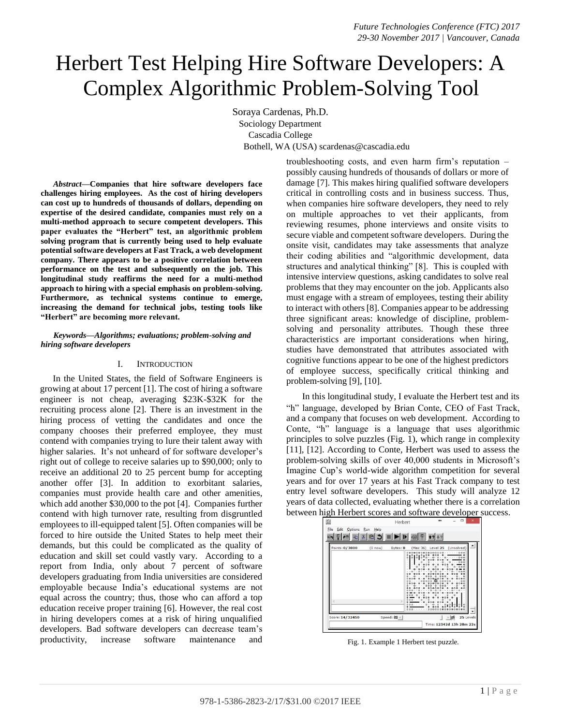# Herbert Test Helping Hire Software Developers: A Complex Algorithmic Problem-Solving Tool

Soraya Cardenas, Ph.D. Sociology Department Cascadia College Bothell, WA (USA) scardenas@cascadia.edu

*Abstract***—Companies that hire software developers face challenges hiring employees. As the cost of hiring developers can cost up to hundreds of thousands of dollars, depending on expertise of the desired candidate, companies must rely on a multi-method approach to secure competent developers. This paper evaluates the "Herbert" test, an algorithmic problem solving program that is currently being used to help evaluate potential software developers at Fast Track, a web development company. There appears to be a positive correlation between performance on the test and subsequently on the job. This longitudinal study reaffirms the need for a multi-method approach to hiring with a special emphasis on problem-solving. Furthermore, as technical systems continue to emerge, increasing the demand for technical jobs, testing tools like "Herbert" are becoming more relevant.** 

## *Keywords—Algorithms; evaluations; problem-solving and hiring software developers*

## I. INTRODUCTION

In the United States, the field of Software Engineers is growing at about 17 percent [1]. The cost of hiring a software engineer is not cheap, averaging \$23K-\$32K for the recruiting process alone [2]. There is an investment in the hiring process of vetting the candidates and once the company chooses their preferred employee, they must contend with companies trying to lure their talent away with higher salaries. It's not unheard of for software developer's right out of college to receive salaries up to \$90,000; only to receive an additional 20 to 25 percent bump for accepting another offer [3]. In addition to exorbitant salaries, companies must provide health care and other amenities, which add another \$30,000 to the pot [4]. Companies further contend with high turnover rate, resulting from disgruntled employees to ill-equipped talent [5]. Often companies will be forced to hire outside the United States to help meet their demands, but this could be complicated as the quality of education and skill set could vastly vary. According to a report from India, only about 7 percent of software developers graduating from India universities are considered employable because India's educational systems are not equal across the country; thus, those who can afford a top education receive proper training [6]. However, the real cost in hiring developers comes at a risk of hiring unqualified developers. Bad software developers can decrease team's productivity, increase software maintenance and

troubleshooting costs, and even harm firm's reputation – possibly causing hundreds of thousands of dollars or more of damage [7]. This makes hiring qualified software developers critical in controlling costs and in business success. Thus, when companies hire software developers, they need to rely on multiple approaches to vet their applicants, from reviewing resumes, phone interviews and onsite visits to secure viable and competent software developers. During the onsite visit, candidates may take assessments that analyze their coding abilities and "algorithmic development, data structures and analytical thinking" [8]. This is coupled with intensive interview questions, asking candidates to solve real problems that they may encounter on the job. Applicants also must engage with a stream of employees, testing their ability to interact with others [8]. Companies appear to be addressing three significant areas: knowledge of discipline, problemsolving and personality attributes. Though these three characteristics are important considerations when hiring, studies have demonstrated that attributes associated with cognitive functions appear to be one of the highest predictors of employee success, specifically critical thinking and problem-solving [9], [10].

In this longitudinal study, I evaluate the Herbert test and its "h" language, developed by Brian Conte, CEO of Fast Track, and a company that focuses on web development. According to Conte, "h" language is a language that uses algorithmic principles to solve puzzles (Fig. 1), which range in complexity [11], [12]. According to Conte, Herbert was used to assess the problem-solving skills of over 40,000 students in Microsoft's Imagine Cup's world-wide algorithm competition for several years and for over 17 years at his Fast Track company to test entry level software developers. This study will analyze 12 years of data collected, evaluating whether there is a correlation between high Herbert scores and software developer success.



Fig. 1. Example 1 Herbert test puzzle.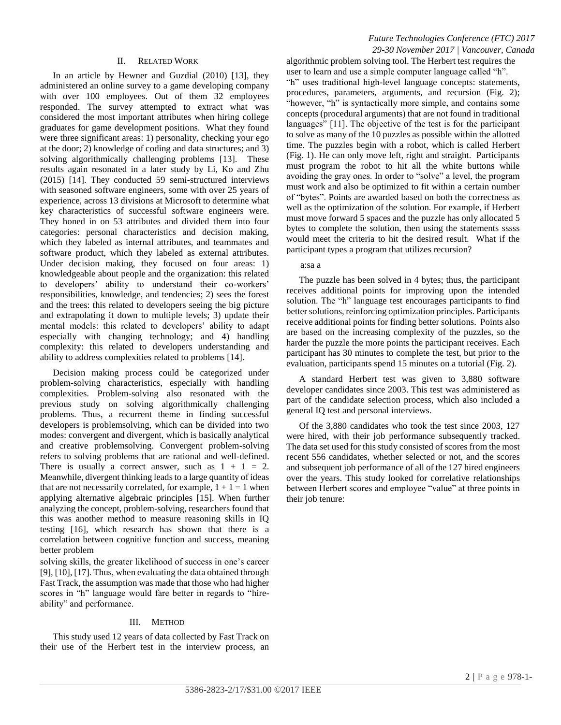## II. RELATED WORK

In an article by Hewner and Guzdial (2010) [13], they administered an online survey to a game developing company with over 100 employees. Out of them 32 employees responded. The survey attempted to extract what was considered the most important attributes when hiring college graduates for game development positions. What they found were three significant areas: 1) personality, checking your ego at the door; 2) knowledge of coding and data structures; and 3) solving algorithmically challenging problems [13]. These results again resonated in a later study by Li, Ko and Zhu (2015) [14]. They conducted 59 semi-structured interviews with seasoned software engineers, some with over 25 years of experience, across 13 divisions at Microsoft to determine what key characteristics of successful software engineers were. They honed in on 53 attributes and divided them into four categories: personal characteristics and decision making, which they labeled as internal attributes, and teammates and software product, which they labeled as external attributes. Under decision making, they focused on four areas: 1) knowledgeable about people and the organization: this related to developers' ability to understand their co-workers' responsibilities, knowledge, and tendencies; 2) sees the forest and the trees: this related to developers seeing the big picture and extrapolating it down to multiple levels; 3) update their mental models: this related to developers' ability to adapt especially with changing technology; and 4) handling complexity: this related to developers understanding and ability to address complexities related to problems [14].

Decision making process could be categorized under problem-solving characteristics, especially with handling complexities. Problem-solving also resonated with the previous study on solving algorithmically challenging problems. Thus, a recurrent theme in finding successful developers is problemsolving, which can be divided into two modes: convergent and divergent, which is basically analytical and creative problemsolving. Convergent problem-solving refers to solving problems that are rational and well-defined. There is usually a correct answer, such as  $1 + 1 = 2$ . Meanwhile, divergent thinking leads to a large quantity of ideas that are not necessarily correlated, for example,  $1 + 1 = 1$  when applying alternative algebraic principles [15]. When further analyzing the concept, problem-solving, researchers found that this was another method to measure reasoning skills in IQ testing [16], which research has shown that there is a correlation between cognitive function and success, meaning better problem

solving skills, the greater likelihood of success in one's career [9], [10], [17]. Thus, when evaluating the data obtained through Fast Track, the assumption was made that those who had higher scores in "h" language would fare better in regards to "hireability" and performance.

#### III. METHOD

This study used 12 years of data collected by Fast Track on their use of the Herbert test in the interview process, an

## *Future Technologies Conference (FTC) 2017 29-30 November 2017 | Vancouver, Canada*

algorithmic problem solving tool. The Herbert test requires the user to learn and use a simple computer language called "h". "h" uses traditional high-level language concepts: statements,

procedures, parameters, arguments, and recursion (Fig. 2); "however, "h" is syntactically more simple, and contains some concepts (procedural arguments) that are not found in traditional languages" [11]. The objective of the test is for the participant to solve as many of the 10 puzzles as possible within the allotted time. The puzzles begin with a robot, which is called Herbert (Fig. 1). He can only move left, right and straight. Participants must program the robot to hit all the white buttons while avoiding the gray ones. In order to "solve" a level, the program must work and also be optimized to fit within a certain number of "bytes". Points are awarded based on both the correctness as well as the optimization of the solution. For example, if Herbert must move forward 5 spaces and the puzzle has only allocated 5 bytes to complete the solution, then using the statements sssss would meet the criteria to hit the desired result. What if the participant types a program that utilizes recursion?

### a:sa a

The puzzle has been solved in 4 bytes; thus, the participant receives additional points for improving upon the intended solution. The "h" language test encourages participants to find better solutions, reinforcing optimization principles. Participants receive additional points for finding better solutions. Points also are based on the increasing complexity of the puzzles, so the harder the puzzle the more points the participant receives. Each participant has 30 minutes to complete the test, but prior to the evaluation, participants spend 15 minutes on a tutorial (Fig. 2).

A standard Herbert test was given to 3,880 software developer candidates since 2003. This test was administered as part of the candidate selection process, which also included a general IQ test and personal interviews.

Of the 3,880 candidates who took the test since 2003, 127 were hired, with their job performance subsequently tracked. The data set used for this study consisted of scores from the most recent 556 candidates, whether selected or not, and the scores and subsequent job performance of all of the 127 hired engineers over the years. This study looked for correlative relationships between Herbert scores and employee "value" at three points in their job tenure: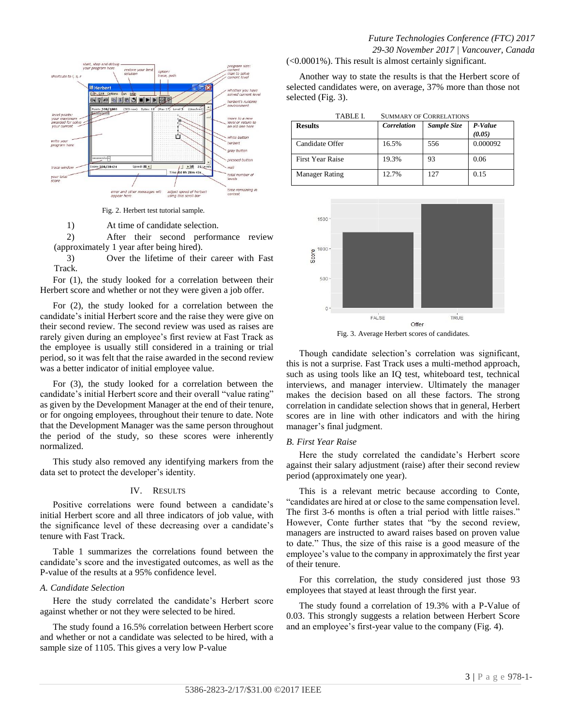

Fig. 2. Herbert test tutorial sample.

1) At time of candidate selection.

2) After their second performance review (approximately 1 year after being hired).

3) Over the lifetime of their career with Fast Track.

For (1), the study looked for a correlation between their Herbert score and whether or not they were given a job offer.

For (2), the study looked for a correlation between the candidate's initial Herbert score and the raise they were give on their second review. The second review was used as raises are rarely given during an employee's first review at Fast Track as the employee is usually still considered in a training or trial period, so it was felt that the raise awarded in the second review was a better indicator of initial employee value.

For (3), the study looked for a correlation between the candidate's initial Herbert score and their overall "value rating" as given by the Development Manager at the end of their tenure, or for ongoing employees, throughout their tenure to date. Note that the Development Manager was the same person throughout the period of the study, so these scores were inherently normalized.

This study also removed any identifying markers from the data set to protect the developer's identity.

#### IV. RESULTS

Positive correlations were found between a candidate's initial Herbert score and all three indicators of job value, with the significance level of these decreasing over a candidate's tenure with Fast Track.

Table 1 summarizes the correlations found between the candidate's score and the investigated outcomes, as well as the P-value of the results at a 95% confidence level.

## *A. Candidate Selection*

Here the study correlated the candidate's Herbert score against whether or not they were selected to be hired.

The study found a 16.5% correlation between Herbert score and whether or not a candidate was selected to be hired, with a sample size of 1105. This gives a very low P-value

(<0.0001%). This result is almost certainly significant.

Another way to state the results is that the Herbert score of selected candidates were, on average, 37% more than those not selected (Fig. 3).

| <b>SUMMARY OF CORRELATIONS</b><br>TABLE I. |             |             |          |
|--------------------------------------------|-------------|-------------|----------|
| <b>Results</b>                             | Correlation | Sample Size | P-Value  |
|                                            |             |             | (0.05)   |
| Candidate Offer                            | 16.5%       | 556         | 0.000092 |
| <b>First Year Raise</b>                    | 19.3%       | 93          | 0.06     |
| <b>Manager Rating</b>                      | 12.7%       | 127         | 0.15     |



Fig. 3. Average Herbert scores of candidates.

Though candidate selection's correlation was significant, this is not a surprise. Fast Track uses a multi-method approach, such as using tools like an IQ test, whiteboard test, technical interviews, and manager interview. Ultimately the manager makes the decision based on all these factors. The strong correlation in candidate selection shows that in general, Herbert scores are in line with other indicators and with the hiring manager's final judgment.

#### *B. First Year Raise*

Here the study correlated the candidate's Herbert score against their salary adjustment (raise) after their second review period (approximately one year).

This is a relevant metric because according to Conte, "candidates are hired at or close to the same compensation level. The first 3-6 months is often a trial period with little raises." However, Conte further states that "by the second review, managers are instructed to award raises based on proven value to date." Thus, the size of this raise is a good measure of the employee's value to the company in approximately the first year of their tenure.

For this correlation, the study considered just those 93 employees that stayed at least through the first year.

The study found a correlation of 19.3% with a P-Value of 0.03. This strongly suggests a relation between Herbert Score and an employee's first-year value to the company (Fig. 4).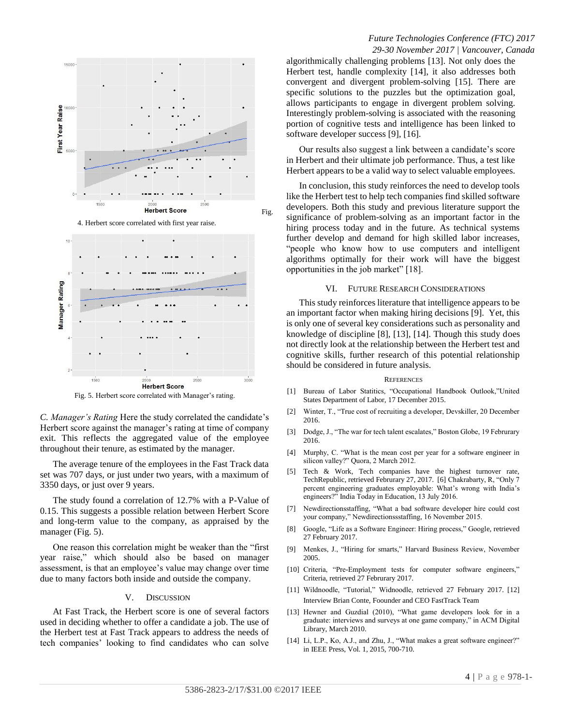





Fig. 5. Herbert score correlated with Manager's rating.

*C. Manager's Rating* Here the study correlated the candidate's Herbert score against the manager's rating at time of company exit. This reflects the aggregated value of the employee throughout their tenure, as estimated by the manager.

The average tenure of the employees in the Fast Track data set was 707 days, or just under two years, with a maximum of 3350 days, or just over 9 years.

The study found a correlation of 12.7% with a P-Value of 0.15. This suggests a possible relation between Herbert Score and long-term value to the company, as appraised by the manager (Fig. 5).

One reason this correlation might be weaker than the "first year raise," which should also be based on manager assessment, is that an employee's value may change over time due to many factors both inside and outside the company.

#### V. DISCUSSION

At Fast Track, the Herbert score is one of several factors used in deciding whether to offer a candidate a job. The use of the Herbert test at Fast Track appears to address the needs of tech companies' looking to find candidates who can solve

## *Future Technologies Conference (FTC) 2017 29-30 November 2017 | Vancouver, Canada*

algorithmically challenging problems [13]. Not only does the Herbert test, handle complexity [14], it also addresses both convergent and divergent problem-solving [15]. There are specific solutions to the puzzles but the optimization goal, allows participants to engage in divergent problem solving. Interestingly problem-solving is associated with the reasoning portion of cognitive tests and intelligence has been linked to software developer success [9], [16].

Our results also suggest a link between a candidate's score in Herbert and their ultimate job performance. Thus, a test like Herbert appears to be a valid way to select valuable employees.

In conclusion, this study reinforces the need to develop tools like the Herbert test to help tech companies find skilled software developers. Both this study and previous literature support the significance of problem-solving as an important factor in the hiring process today and in the future. As technical systems further develop and demand for high skilled labor increases, "people who know how to use computers and intelligent algorithms optimally for their work will have the biggest opportunities in the job market" [18].

#### VI. FUTURE RESEARCH CONSIDERATIONS

This study reinforces literature that intelligence appears to be an important factor when making hiring decisions [9]. Yet, this is only one of several key considerations such as personality and knowledge of discipline [8], [13], [14]. Though this study does not directly look at the relationship between the Herbert test and cognitive skills, further research of this potential relationship should be considered in future analysis.

#### **REFERENCES**

- [1] Bureau of Labor Statitics, "Occupational Handbook Outlook,"United States Department of Labor, 17 December 2015.
- [2] Winter, T., "True cost of recruiting a developer, Devskiller, 20 December 2016.
- [3] Dodge, J., "The war for tech talent escalates," Boston Globe, 19 Februrary 2016.
- [4] Murphy, C. "What is the mean cost per year for a software engineer in silicon valley?" Quora, 2 March 2012.
- [5] Tech & Work, Tech companies have the highest turnover rate, TechRepublic, retrieved Februrary 27, 2017. [6] Chakrabarty, R, "Only 7 percent engineering graduates employable: What's wrong with India's engineers?" India Today in Education, 13 July 2016.
- [7] Newdirectionsstaffing, "What a bad software developer hire could cost your company," Newdirectionssstaffing, 16 November 2015.
- [8] Google, "Life as a Software Engineer: Hiring process," Google, retrieved 27 February 2017.
- [9] Menkes, J., "Hiring for smarts," Harvard Business Review, November 2005.
- [10] Criteria, "Pre-Employment tests for computer software engineers," Criteria, retrieved 27 Februrary 2017.
- [11] Wildnoodle, "Tutorial," Widnoodle, retrieved 27 February 2017. [12] Interview Brian Conte, Foounder and CEO FastTrack Team
- [13] Hewner and Guzdial (2010), "What game developers look for in a graduate: interviews and surveys at one game company," in ACM Digital Library, March 2010.
- [14] Li, L.P., Ko, A.J., and Zhu, J., "What makes a great software engineer?" in IEEE Press, Vol. 1, 2015, 700-710.